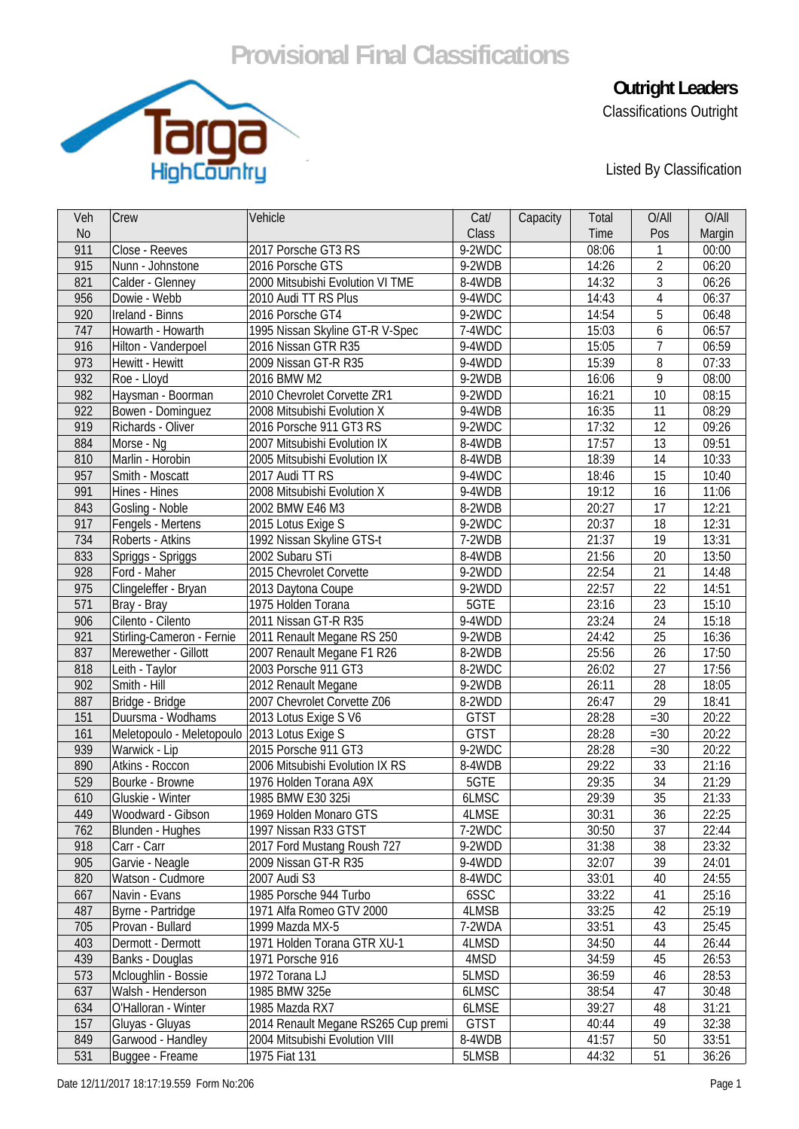## **Provisional Final Classifications**



**Outright Leaders** 

Classifications Outright

Listed By Classification

| Veh            | Crew                            | Vehicle                                             | Cat/        | Capacity | Total | O/All           | O/All  |
|----------------|---------------------------------|-----------------------------------------------------|-------------|----------|-------|-----------------|--------|
| N <sub>o</sub> |                                 |                                                     | Class       |          | Time  | Pos             | Margin |
| 911            | Close - Reeves                  | 2017 Porsche GT3 RS                                 | 9-2WDC      |          | 08:06 | $\mathbf{1}$    | 00:00  |
| 915            | Nunn - Johnstone                | 2016 Porsche GTS                                    | 9-2WDB      |          | 14:26 | $\overline{2}$  | 06:20  |
| 821            | Calder - Glenney                | 2000 Mitsubishi Evolution VI TME                    | 8-4WDB      |          | 14:32 | 3               | 06:26  |
| 956            | Dowie - Webb                    | 2010 Audi TT RS Plus                                | 9-4WDC      |          | 14:43 | $\overline{4}$  | 06:37  |
| 920            | Ireland - Binns                 | 2016 Porsche GT4                                    | 9-2WDC      |          | 14:54 | 5               | 06:48  |
| 747            | Howarth - Howarth               | 1995 Nissan Skyline GT-R V-Spec                     | 7-4WDC      |          | 15:03 | 6               | 06:57  |
| 916            | Hilton - Vanderpoel             | 2016 Nissan GTR R35                                 | 9-4WDD      |          | 15:05 | $\overline{7}$  | 06:59  |
| 973            | Hewitt - Hewitt                 | 2009 Nissan GT-R R35                                | 9-4WDD      |          | 15:39 | 8               | 07:33  |
| 932            | Roe - Lloyd                     | 2016 BMW M2                                         | 9-2WDB      |          | 16:06 | 9               | 08:00  |
| 982            | Haysman - Boorman               | 2010 Chevrolet Corvette ZR1                         | 9-2WDD      |          | 16:21 | 10              | 08:15  |
| 922            | Bowen - Dominguez               | 2008 Mitsubishi Evolution X                         | 9-4WDB      |          | 16:35 | 11              | 08:29  |
| 919            | Richards - Oliver               | 2016 Porsche 911 GT3 RS                             | 9-2WDC      |          | 17:32 | 12              | 09:26  |
| 884            | Morse - Ng                      | 2007 Mitsubishi Evolution IX                        | 8-4WDB      |          | 17:57 | 13              | 09:51  |
| 810            | Marlin - Horobin                | 2005 Mitsubishi Evolution IX                        | 8-4WDB      |          | 18:39 | 14              | 10:33  |
| 957            | Smith - Moscatt                 | 2017 Audi TT RS                                     | 9-4WDC      |          | 18:46 | 15              | 10:40  |
| 991            | Hines - Hines                   | 2008 Mitsubishi Evolution X                         | 9-4WDB      |          | 19:12 | 16              | 11:06  |
| 843            | Gosling - Noble                 | 2002 BMW E46 M3                                     | 8-2WDB      |          | 20:27 | 17              | 12:21  |
| 917            | Fengels - Mertens               | 2015 Lotus Exige S                                  | 9-2WDC      |          | 20:37 | 18              | 12:31  |
| 734            | Roberts - Atkins                | 1992 Nissan Skyline GTS-t                           | 7-2WDB      |          | 21:37 | 19              | 13:31  |
| 833            | Spriggs - Spriggs               | 2002 Subaru STi                                     | 8-4WDB      |          | 21:56 | 20              | 13:50  |
| 928            | Ford - Maher                    | 2015 Chevrolet Corvette                             | 9-2WDD      |          | 22:54 | 21              | 14:48  |
| 975            | Clingeleffer - Bryan            | 2013 Daytona Coupe                                  | 9-2WDD      |          | 22:57 | 22              | 14:51  |
| 571            | Bray - Bray                     | 1975 Holden Torana                                  | 5GTE        |          | 23:16 | 23              | 15:10  |
| 906            | Cilento - Cilento               | 2011 Nissan GT-R R35                                | 9-4WDD      |          | 23:24 | 24              | 15:18  |
| 921            | Stirling-Cameron - Fernie       | 2011 Renault Megane RS 250                          | 9-2WDB      |          | 24:42 | 25              | 16:36  |
| 837            | Merewether - Gillott            | 2007 Renault Megane F1 R26                          | 8-2WDB      |          | 25:56 | 26              | 17:50  |
| 818            | Leith - Taylor                  | 2003 Porsche 911 GT3                                | 8-2WDC      |          | 26:02 | 27              | 17:56  |
| 902            | Smith - Hill                    | 2012 Renault Megane                                 | 9-2WDB      |          | 26:11 | 28              | 18:05  |
| 887            | Bridge - Bridge                 | 2007 Chevrolet Corvette Z06                         | 8-2WDD      |          | 26:47 | 29              | 18:41  |
| 151            | Duursma - Wodhams               | 2013 Lotus Exige S V6                               | <b>GTST</b> |          | 28:28 | $=30$           | 20:22  |
| 161            | Meletopoulo - Meletopoulo       | 2013 Lotus Exige S                                  | <b>GTST</b> |          | 28:28 | $=30$           | 20:22  |
| 939            | Warwick - Lip                   | 2015 Porsche 911 GT3                                | 9-2WDC      |          | 28:28 | $=30$           | 20:22  |
| 890            | Atkins - Roccon                 | 2006 Mitsubishi Evolution IX RS                     | 8-4WDB      |          | 29:22 | 33              | 21:16  |
| 529            | Bourke - Browne                 | 1976 Holden Torana A9X                              | 5GTE        |          | 29:35 | 34              | 21:29  |
| 610            | Gluskie - Winter                | 1985 BMW E30 325i                                   | 6LMSC       |          | 29:39 | 35              | 21:33  |
| 449            | Woodward - Gibson               | 1969 Holden Monaro GTS                              | 4LMSE       |          | 30:31 | $\overline{36}$ | 22:25  |
| 762            |                                 | 1997 Nissan R33 GTST                                | 7-2WDC      |          | 30:50 | 37              | 22:44  |
| 918            | Blunden - Hughes<br>Carr - Carr |                                                     | 9-2WDD      |          | 31:38 | 38              | 23:32  |
|                | Garvie - Neagle                 | 2017 Ford Mustang Roush 727<br>2009 Nissan GT-R R35 | 9-4WDD      |          | 32:07 | 39              |        |
| 905            |                                 |                                                     |             |          |       |                 | 24:01  |
| 820            | Watson - Cudmore                | 2007 Audi S3                                        | 8-4WDC      |          | 33:01 | 40              | 24:55  |
| 667            | Navin - Evans                   | 1985 Porsche 944 Turbo                              | 6SSC        |          | 33:22 | 41              | 25:16  |
| 487            | Byrne - Partridge               | 1971 Alfa Romeo GTV 2000                            | 4LMSB       |          | 33:25 | 42              | 25:19  |
| 705            | Provan - Bullard                | 1999 Mazda MX-5                                     | 7-2WDA      |          | 33:51 | 43              | 25:45  |
| 403            | Dermott - Dermott               | 1971 Holden Torana GTR XU-1                         | 4LMSD       |          | 34:50 | 44              | 26:44  |
| 439            | Banks - Douglas                 | 1971 Porsche 916                                    | 4MSD        |          | 34:59 | 45              | 26:53  |
| 573            | Mcloughlin - Bossie             | 1972 Torana LJ                                      | 5LMSD       |          | 36:59 | 46              | 28:53  |
| 637            | Walsh - Henderson               | 1985 BMW 325e                                       | 6LMSC       |          | 38:54 | 47              | 30:48  |
| 634            | O'Halloran - Winter             | 1985 Mazda RX7                                      | 6LMSE       |          | 39:27 | 48              | 31:21  |
| 157            | Gluyas - Gluyas                 | 2014 Renault Megane RS265 Cup premi                 | <b>GTST</b> |          | 40:44 | 49              | 32:38  |
| 849            | Garwood - Handley               | 2004 Mitsubishi Evolution VIII                      | 8-4WDB      |          | 41:57 | 50              | 33:51  |
| 531            | Buggee - Freame                 | 1975 Fiat 131                                       | 5LMSB       |          | 44:32 | 51              | 36:26  |